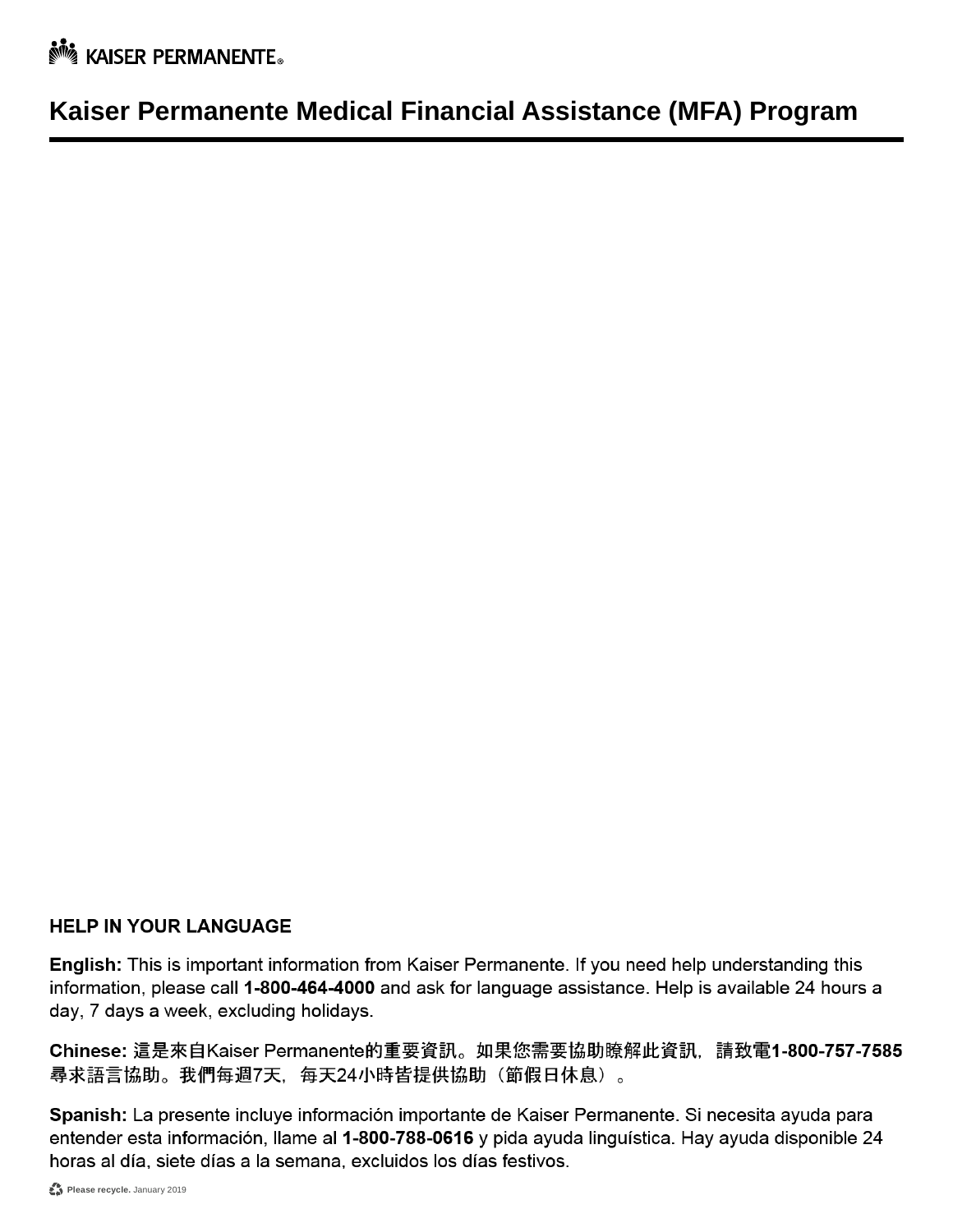**No. KAISER PERMANENTE.** 

## **Kaiser Permanente Medical Financial Assistance (MFA) Program**

#### **HELP IN YOUR LANGUAGE**

English: This is important information from Kaiser Permanente. If you need help understanding this information, please call 1-800-464-4000 and ask for language assistance. Help is available 24 hours a day, 7 days a week, excluding holidays.

Chinese: 這是來自Kaiser Permanente的重要資訊。如果您需要協助瞭解此資訊, 請致電1-800-757-7585 尋求語言協助。我們每週7天,每天24小時皆提供協助(節假日休息)。

Spanish: La presente incluye información importante de Kaiser Permanente. Si necesita ayuda para entender esta información, llame al 1-800-788-0616 y pida ayuda linguística. Hay ayuda disponible 24 horas al día, siete días a la semana, excluidos los días festivos.

Please recycle. January 2019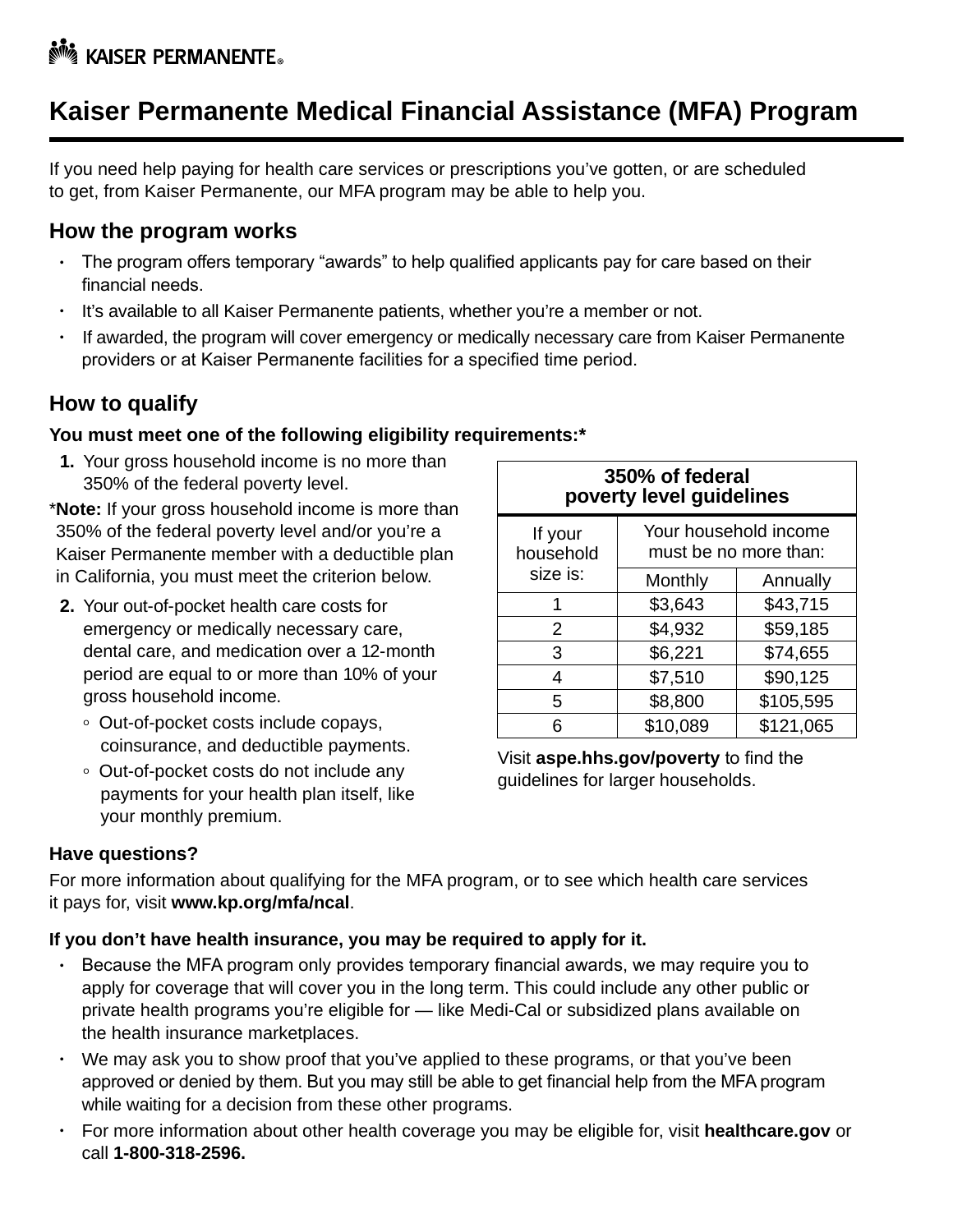## **Kaiser Permanente Medical Financial Assistance (MFA) Program**

If you need help paying for health care services or prescriptions you've gotten, or are scheduled to get, from Kaiser Permanente, our MFA program may be able to help you.

### **How the program works**

- The program offers temporary "awards" to help qualified applicants pay for care based on their financial needs.
- It's available to all Kaiser Permanente patients, whether you're a member or not.
- If awarded, the program will cover emergency or medically necessary care from Kaiser Permanente providers or at Kaiser Permanente facilities for a specified time period.

### **How to qualify**

#### **You must meet one of the following eligibility requirements:\***

**1.** Your gross household income is no more than 350% of the federal poverty level.

\* **Note:** If your gross household income is more than 350% of the federal poverty level and/or you're a Kaiser Permanente member with a deductible plan in California, you must meet the criterion below.

- **2.** Your out-of-pocket health care costs for emergency or medically necessary care, dental care, and medication over a 12-month period are equal to or more than 10% of your gross household income.
	- Out-of-pocket costs include copays, coinsurance, and deductible payments.
	- Out-of-pocket costs do not include any payments for your health plan itself, like your monthly premium.

| 350% of federal<br>poverty level guidelines |                                                |           |  |  |  |  |
|---------------------------------------------|------------------------------------------------|-----------|--|--|--|--|
| If your<br>household                        | Your household income<br>must be no more than: |           |  |  |  |  |
| size is:                                    | Monthly                                        | Annually  |  |  |  |  |
|                                             | \$3,643                                        | \$43,715  |  |  |  |  |
| 2                                           | \$4,932                                        | \$59,185  |  |  |  |  |
| 3                                           | \$6,221                                        | \$74,655  |  |  |  |  |
| 4                                           | \$7,510                                        | \$90,125  |  |  |  |  |
| 5                                           | \$8,800                                        | \$105,595 |  |  |  |  |
| ճ                                           | \$10,089                                       | \$121,065 |  |  |  |  |

Visit **aspe.hhs.gov/poverty** to find the guidelines for larger households.

#### **Have questions?**

For more information about qualifying for the MFA program, or to see which health care services it pays for, visit **www.kp.org/mfa/ncal**.

#### **If you don't have health insurance, you may be required to apply for it.**

- Because the MFA program only provides temporary financial awards, we may require you to apply for coverage that will cover you in the long term. This could include any other public or private health programs you're eligible for — like Medi-Cal or subsidized plans available on the health insurance marketplaces.
- We may ask you to show proof that you've applied to these programs, or that you've been approved or denied by them. But you may still be able to get financial help from the MFA program while waiting for a decision from these other programs.
- For more information about other health coverage you may be eligible for, visit **healthcare.gov** or call **1-800-318-2596.**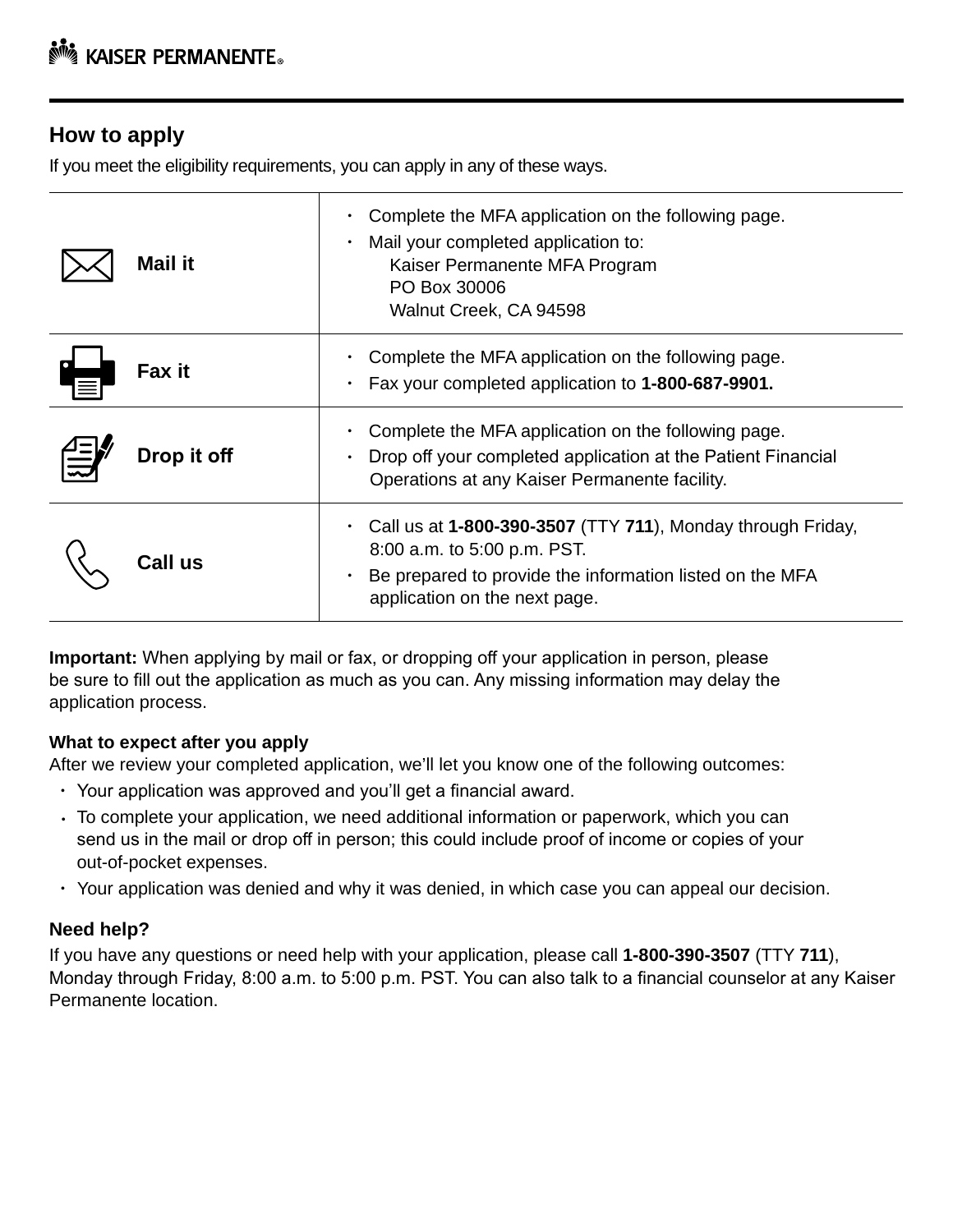### **How to apply**

If you meet the eligibility requirements, you can apply in any of these ways.

| <b>Mail it</b> | Complete the MFA application on the following page.<br>Mail your completed application to:<br>Kaiser Permanente MFA Program<br>PO Box 30006<br>Walnut Creek, CA 94598                   |
|----------------|-----------------------------------------------------------------------------------------------------------------------------------------------------------------------------------------|
| Fax it         | Complete the MFA application on the following page.<br>Fax your completed application to 1-800-687-9901.                                                                                |
| Drop it off    | Complete the MFA application on the following page.<br>Drop off your completed application at the Patient Financial<br>Operations at any Kaiser Permanente facility.                    |
| Call us        | Call us at 1-800-390-3507 (TTY 711), Monday through Friday,<br>8:00 a.m. to 5:00 p.m. PST.<br>Be prepared to provide the information listed on the MFA<br>application on the next page. |

**Important:** When applying by mail or fax, or dropping off your application in person, please be sure to fill out the application as much as you can. Any missing information may delay the application process.

#### **What to expect after you apply**

After we review your completed application, we'll let you know one of the following outcomes:

- Your application was approved and you'll get a financial award.
- To complete your application, we need additional information or paperwork, which you can send us in the mail or drop off in person; this could include proof of income or copies of your out-of-pocket expenses.
- Your application was denied and why it was denied, in which case you can appeal our decision.

#### **Need help?**

If you have any questions or need help with your application, please call **1-800-390-3507** (TTY **711**), Monday through Friday, 8:00 a.m. to 5:00 p.m. PST. You can also talk to a financial counselor at any Kaiser Permanente location.